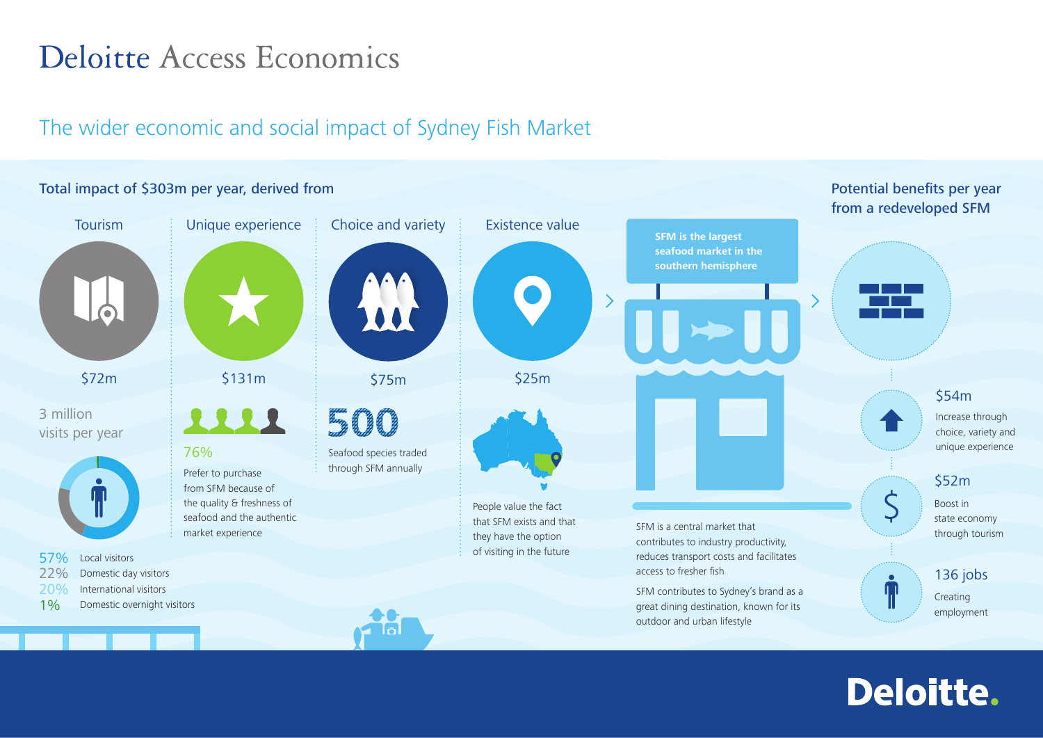## Deloitte Access Economics

## The wider economic and social impact of Sydney Fish Market



## **Deloitte.**